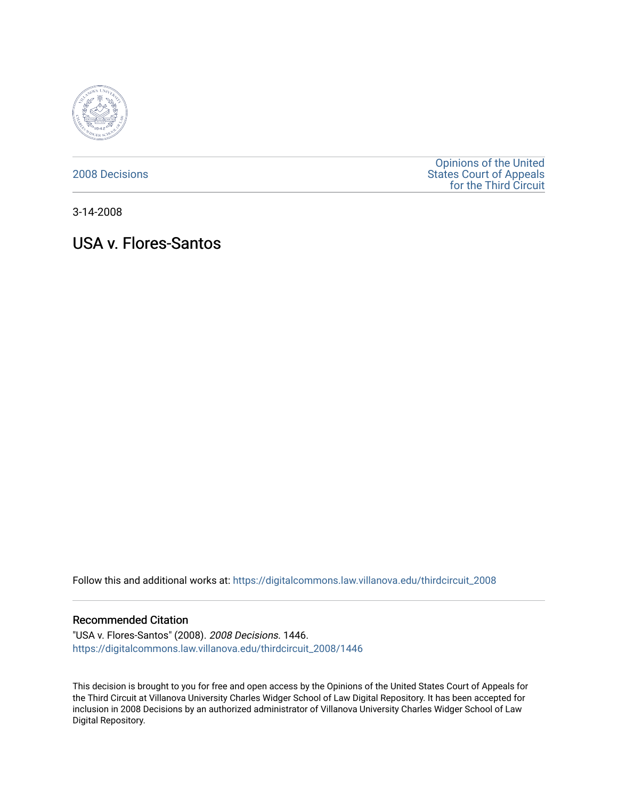

[2008 Decisions](https://digitalcommons.law.villanova.edu/thirdcircuit_2008)

[Opinions of the United](https://digitalcommons.law.villanova.edu/thirdcircuit)  [States Court of Appeals](https://digitalcommons.law.villanova.edu/thirdcircuit)  [for the Third Circuit](https://digitalcommons.law.villanova.edu/thirdcircuit) 

3-14-2008

# USA v. Flores-Santos

Follow this and additional works at: [https://digitalcommons.law.villanova.edu/thirdcircuit\\_2008](https://digitalcommons.law.villanova.edu/thirdcircuit_2008?utm_source=digitalcommons.law.villanova.edu%2Fthirdcircuit_2008%2F1446&utm_medium=PDF&utm_campaign=PDFCoverPages) 

#### Recommended Citation

"USA v. Flores-Santos" (2008). 2008 Decisions. 1446. [https://digitalcommons.law.villanova.edu/thirdcircuit\\_2008/1446](https://digitalcommons.law.villanova.edu/thirdcircuit_2008/1446?utm_source=digitalcommons.law.villanova.edu%2Fthirdcircuit_2008%2F1446&utm_medium=PDF&utm_campaign=PDFCoverPages) 

This decision is brought to you for free and open access by the Opinions of the United States Court of Appeals for the Third Circuit at Villanova University Charles Widger School of Law Digital Repository. It has been accepted for inclusion in 2008 Decisions by an authorized administrator of Villanova University Charles Widger School of Law Digital Repository.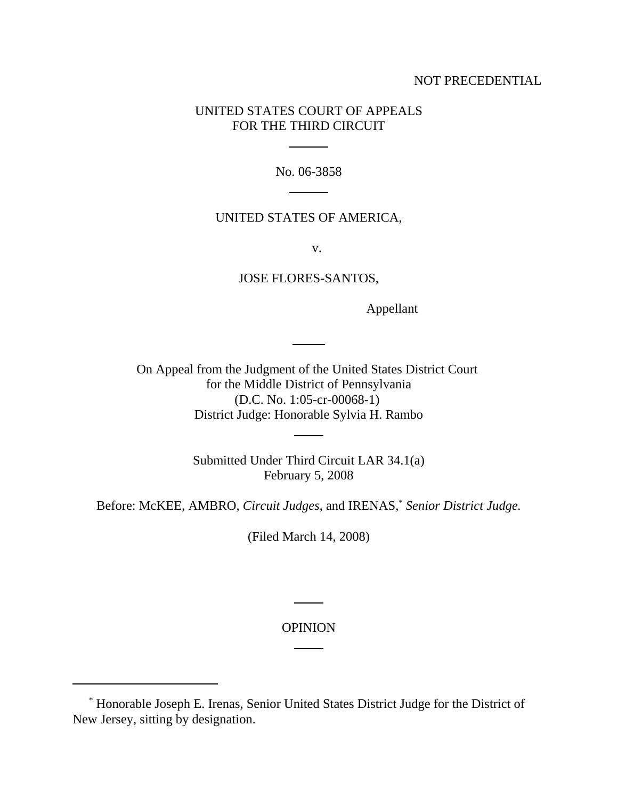# NOT PRECEDENTIAL

# UNITED STATES COURT OF APPEALS FOR THE THIRD CIRCUIT

l

 $\overline{a}$ 

No. 06-3858

# UNITED STATES OF AMERICA,

v.

JOSE FLORES-SANTOS,

Appellant

On Appeal from the Judgment of the United States District Court for the Middle District of Pennsylvania (D.C. No. 1:05-cr-00068-1) District Judge: Honorable Sylvia H. Rambo

l

 $\ddot{\phantom{a}}$ 

Submitted Under Third Circuit LAR 34.1(a) February 5, 2008

Before: McKEE, AMBRO, *Circuit Judges*, and IRENAS,\* *Senior District Judge.*

(Filed March 14, 2008)

OPINION

l

l

 <sup>\*</sup> Honorable Joseph E. Irenas, Senior United States District Judge for the District of New Jersey, sitting by designation.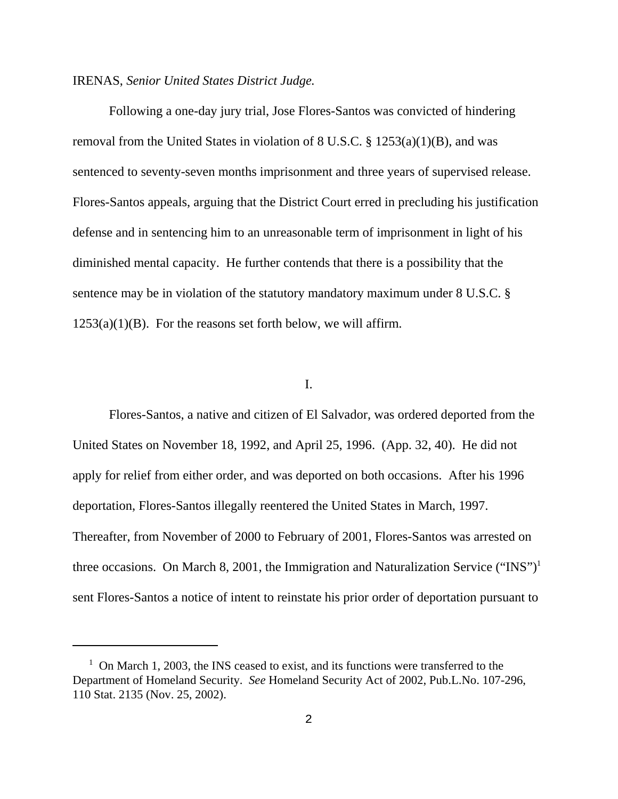#### IRENAS, *Senior United States District Judge.*

Following a one-day jury trial, Jose Flores-Santos was convicted of hindering removal from the United States in violation of 8 U.S.C. § 1253(a)(1)(B), and was sentenced to seventy-seven months imprisonment and three years of supervised release. Flores-Santos appeals, arguing that the District Court erred in precluding his justification defense and in sentencing him to an unreasonable term of imprisonment in light of his diminished mental capacity. He further contends that there is a possibility that the sentence may be in violation of the statutory mandatory maximum under 8 U.S.C. §  $1253(a)(1)(B)$ . For the reasons set forth below, we will affirm.

# I.

Flores-Santos, a native and citizen of El Salvador, was ordered deported from the United States on November 18, 1992, and April 25, 1996. (App. 32, 40). He did not apply for relief from either order, and was deported on both occasions. After his 1996 deportation, Flores-Santos illegally reentered the United States in March, 1997. Thereafter, from November of 2000 to February of 2001, Flores-Santos was arrested on three occasions. On March 8, 2001, the Immigration and Naturalization Service ("INS")<sup>1</sup> sent Flores-Santos a notice of intent to reinstate his prior order of deportation pursuant to

<sup>&</sup>lt;sup>1</sup> On March 1, 2003, the INS ceased to exist, and its functions were transferred to the Department of Homeland Security. *See* Homeland Security Act of 2002, Pub.L.No. 107-296, 110 Stat. 2135 (Nov. 25, 2002).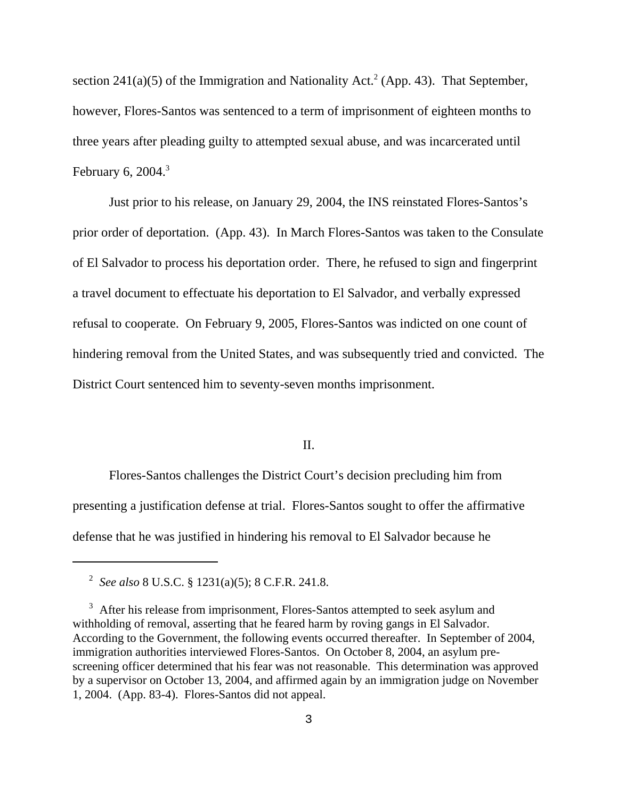section 241(a)(5) of the Immigration and Nationality Act.<sup>2</sup> (App. 43). That September, however, Flores-Santos was sentenced to a term of imprisonment of eighteen months to three years after pleading guilty to attempted sexual abuse, and was incarcerated until February 6, 2004. $3$ 

Just prior to his release, on January 29, 2004, the INS reinstated Flores-Santos's prior order of deportation. (App. 43). In March Flores-Santos was taken to the Consulate of El Salvador to process his deportation order. There, he refused to sign and fingerprint a travel document to effectuate his deportation to El Salvador, and verbally expressed refusal to cooperate. On February 9, 2005, Flores-Santos was indicted on one count of hindering removal from the United States, and was subsequently tried and convicted. The District Court sentenced him to seventy-seven months imprisonment.

## II.

Flores-Santos challenges the District Court's decision precluding him from presenting a justification defense at trial. Flores-Santos sought to offer the affirmative defense that he was justified in hindering his removal to El Salvador because he

 <sup>2</sup> *See also* 8 U.S.C. § 1231(a)(5); 8 C.F.R. 241.8.

<sup>&</sup>lt;sup>3</sup> After his release from imprisonment, Flores-Santos attempted to seek asylum and withholding of removal, asserting that he feared harm by roving gangs in El Salvador. According to the Government, the following events occurred thereafter. In September of 2004, immigration authorities interviewed Flores-Santos. On October 8, 2004, an asylum prescreening officer determined that his fear was not reasonable. This determination was approved by a supervisor on October 13, 2004, and affirmed again by an immigration judge on November 1, 2004. (App. 83-4). Flores-Santos did not appeal.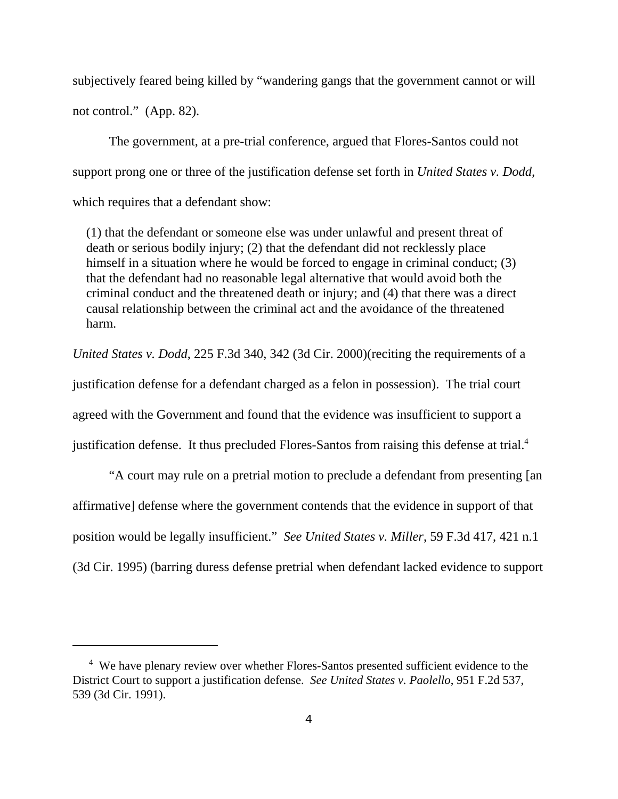subjectively feared being killed by "wandering gangs that the government cannot or will not control." (App. 82).

The government, at a pre-trial conference, argued that Flores-Santos could not support prong one or three of the justification defense set forth in *United States v. Dodd,* which requires that a defendant show:

(1) that the defendant or someone else was under unlawful and present threat of death or serious bodily injury; (2) that the defendant did not recklessly place himself in a situation where he would be forced to engage in criminal conduct; (3) that the defendant had no reasonable legal alternative that would avoid both the criminal conduct and the threatened death or injury; and (4) that there was a direct causal relationship between the criminal act and the avoidance of the threatened harm.

*United States v. Dodd*, 225 F.3d 340, 342 (3d Cir. 2000)(reciting the requirements of a

justification defense for a defendant charged as a felon in possession). The trial court

agreed with the Government and found that the evidence was insufficient to support a

justification defense. It thus precluded Flores-Santos from raising this defense at trial.<sup>4</sup>

"A court may rule on a pretrial motion to preclude a defendant from presenting [an affirmative] defense where the government contends that the evidence in support of that position would be legally insufficient." *See United States v. Miller*, 59 F.3d 417, 421 n.1 (3d Cir. 1995) (barring duress defense pretrial when defendant lacked evidence to support

<sup>&</sup>lt;sup>4</sup> We have plenary review over whether Flores-Santos presented sufficient evidence to the District Court to support a justification defense. *See United States v. Paolello*, 951 F.2d 537, 539 (3d Cir. 1991).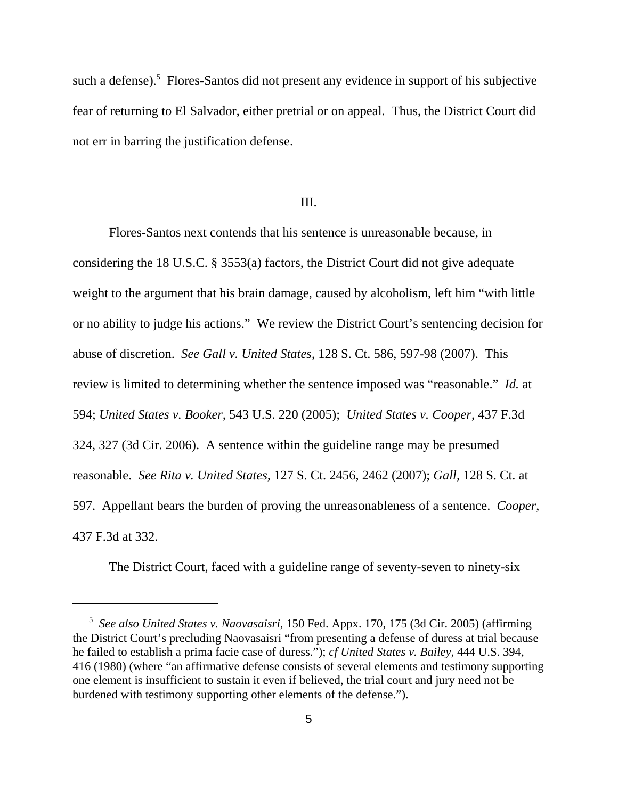such a defense).<sup>5</sup> Flores-Santos did not present any evidence in support of his subjective fear of returning to El Salvador, either pretrial or on appeal. Thus, the District Court did not err in barring the justification defense.

## III.

Flores-Santos next contends that his sentence is unreasonable because, in considering the 18 U.S.C. § 3553(a) factors, the District Court did not give adequate weight to the argument that his brain damage, caused by alcoholism, left him "with little or no ability to judge his actions." We review the District Court's sentencing decision for abuse of discretion. *See Gall v. United States*, 128 S. Ct. 586, 597-98 (2007). This review is limited to determining whether the sentence imposed was "reasonable." *Id.* at 594; *United States v. Booker,* 543 U.S. 220 (2005); *United States v. Cooper*, 437 F.3d 324, 327 (3d Cir. 2006). A sentence within the guideline range may be presumed reasonable. *See Rita v. United States,* 127 S. Ct. 2456, 2462 (2007); *Gall,* 128 S. Ct. at 597. Appellant bears the burden of proving the unreasonableness of a sentence. *Cooper*, 437 F.3d at 332.

The District Court, faced with a guideline range of seventy-seven to ninety-six

 <sup>5</sup> *See also United States v. Naovasaisri*, 150 Fed. Appx. 170, 175 (3d Cir. 2005) (affirming the District Court's precluding Naovasaisri "from presenting a defense of duress at trial because he failed to establish a prima facie case of duress."); *cf United States v. Bailey*, 444 U.S. 394, 416 (1980) (where "an affirmative defense consists of several elements and testimony supporting one element is insufficient to sustain it even if believed, the trial court and jury need not be burdened with testimony supporting other elements of the defense.").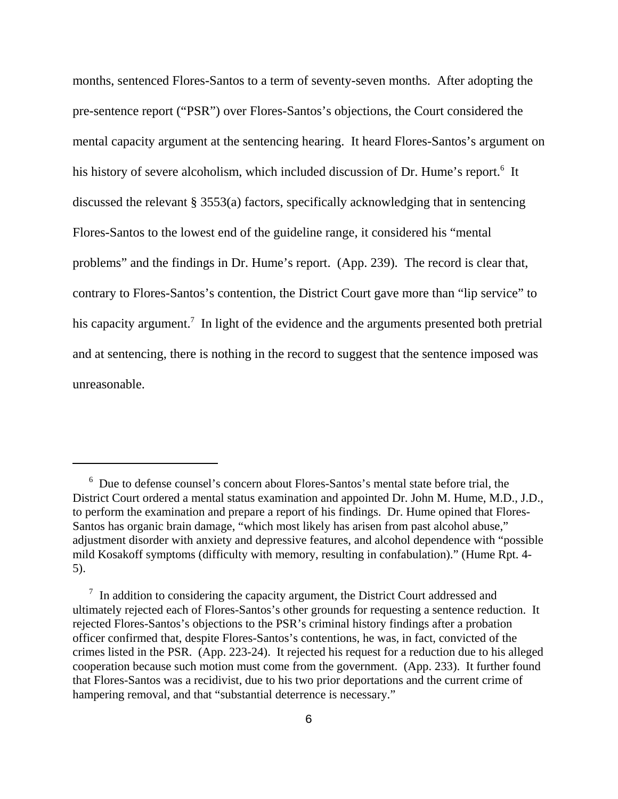months, sentenced Flores-Santos to a term of seventy-seven months. After adopting the pre-sentence report ("PSR") over Flores-Santos's objections, the Court considered the mental capacity argument at the sentencing hearing. It heard Flores-Santos's argument on his history of severe alcoholism, which included discussion of Dr. Hume's report.<sup>6</sup> It discussed the relevant § 3553(a) factors, specifically acknowledging that in sentencing Flores-Santos to the lowest end of the guideline range, it considered his "mental problems" and the findings in Dr. Hume's report. (App. 239). The record is clear that, contrary to Flores-Santos's contention, the District Court gave more than "lip service" to his capacity argument.<sup>7</sup> In light of the evidence and the arguments presented both pretrial and at sentencing, there is nothing in the record to suggest that the sentence imposed was unreasonable.

<sup>&</sup>lt;sup>6</sup> Due to defense counsel's concern about Flores-Santos's mental state before trial, the District Court ordered a mental status examination and appointed Dr. John M. Hume, M.D., J.D., to perform the examination and prepare a report of his findings. Dr. Hume opined that Flores-Santos has organic brain damage, "which most likely has arisen from past alcohol abuse," adjustment disorder with anxiety and depressive features, and alcohol dependence with "possible mild Kosakoff symptoms (difficulty with memory, resulting in confabulation)." (Hume Rpt. 4- 5).

<sup>&</sup>lt;sup>7</sup> In addition to considering the capacity argument, the District Court addressed and ultimately rejected each of Flores-Santos's other grounds for requesting a sentence reduction. It rejected Flores-Santos's objections to the PSR's criminal history findings after a probation officer confirmed that, despite Flores-Santos's contentions, he was, in fact, convicted of the crimes listed in the PSR. (App. 223-24). It rejected his request for a reduction due to his alleged cooperation because such motion must come from the government. (App. 233). It further found that Flores-Santos was a recidivist, due to his two prior deportations and the current crime of hampering removal, and that "substantial deterrence is necessary."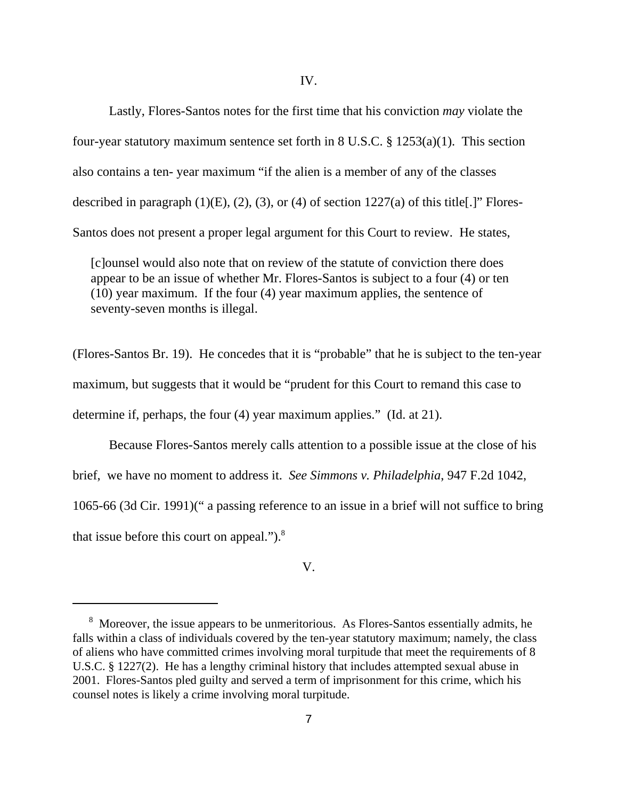Lastly, Flores-Santos notes for the first time that his conviction *may* violate the four-year statutory maximum sentence set forth in 8 U.S.C. § 1253(a)(1). This section also contains a ten- year maximum "if the alien is a member of any of the classes described in paragraph  $(1)(E)$ ,  $(2)$ ,  $(3)$ , or  $(4)$  of section 1227 $(a)$  of this title[.]" Flores-Santos does not present a proper legal argument for this Court to review. He states,

[c]ounsel would also note that on review of the statute of conviction there does appear to be an issue of whether Mr. Flores-Santos is subject to a four (4) or ten (10) year maximum. If the four (4) year maximum applies, the sentence of seventy-seven months is illegal.

(Flores-Santos Br. 19). He concedes that it is "probable" that he is subject to the ten-year maximum, but suggests that it would be "prudent for this Court to remand this case to determine if, perhaps, the four (4) year maximum applies." (Id. at 21).

Because Flores-Santos merely calls attention to a possible issue at the close of his brief, we have no moment to address it. *See Simmons v. Philadelphia*, 947 F.2d 1042, 1065-66 (3d Cir. 1991)(" a passing reference to an issue in a brief will not suffice to bring that issue before this court on appeal."). $8$ 

## V.

<sup>&</sup>lt;sup>8</sup> Moreover, the issue appears to be unmeritorious. As Flores-Santos essentially admits, he falls within a class of individuals covered by the ten-year statutory maximum; namely, the class of aliens who have committed crimes involving moral turpitude that meet the requirements of 8 U.S.C. § 1227(2). He has a lengthy criminal history that includes attempted sexual abuse in 2001. Flores-Santos pled guilty and served a term of imprisonment for this crime, which his counsel notes is likely a crime involving moral turpitude.